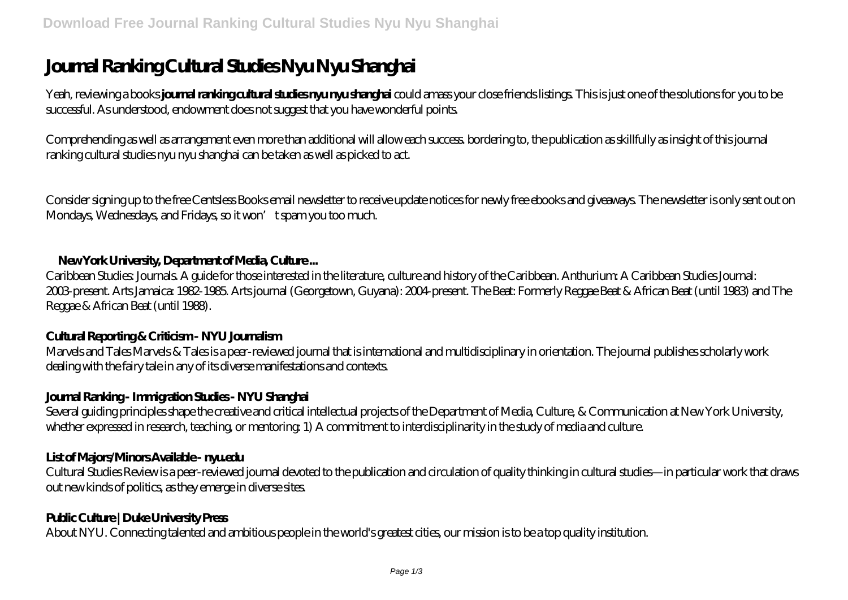# **Journal Ranking Cultural Studies Nyu Nyu Shanghai**

Yeah, reviewing a books **journal ranking cultural studies nyu nyu shanghai** could amass your close friends listings. This is just one of the solutions for you to be successful. As understood, endowment does not suggest that you have wonderful points.

Comprehending as well as arrangement even more than additional will allow each success. bordering to, the publication as skillfully as insight of this journal ranking cultural studies nyu nyu shanghai can be taken as well as picked to act.

Consider signing up to the free Centsless Books email newsletter to receive update notices for newly free ebooks and giveaways. The newsletter is only sent out on Mondays, Wednesdays, and Fridays, so it won't spam you too much.

#### **New York University, Department of Media, Culture ...**

Caribbean Studies: Journals. A guide for those interested in the literature, culture and history of the Caribbean. Anthurium: A Caribbean Studies Journal: 2003-present. Arts Jamaica: 1982-1985. Arts journal (Georgetown, Guyana): 2004-present. The Beat: Formerly Reggae Beat & African Beat (until 1983) and The Reggae & African Beat (until 1988).

# **Cultural Reporting & Criticism - NYU Journalism**

Marvels and Tales Marvels & Tales is a peer-reviewed journal that is international and multidisciplinary in orientation. The journal publishes scholarly work dealing with the fairy tale in any of its diverse manifestations and contexts.

# **Journal Ranking - Immigration Studies - NYU Shanghai**

Several guiding principles shape the creative and critical intellectual projects of the Department of Media, Culture, & Communication at New York University, whether expressed in research, teaching, or mentoring: 1) A commitment to interdisciplinarity in the study of media and culture.

# **List of Majors/Minors Available - nyu.edu**

Cultural Studies Review is a peer-reviewed journal devoted to the publication and circulation of quality thinking in cultural studies—in particular work that draws out new kinds of politics, as they emerge in diverse sites.

# **Public Culture | Duke University Press**

About NYU. Connecting talented and ambitious people in the world's greatest cities, our mission is to be a top quality institution.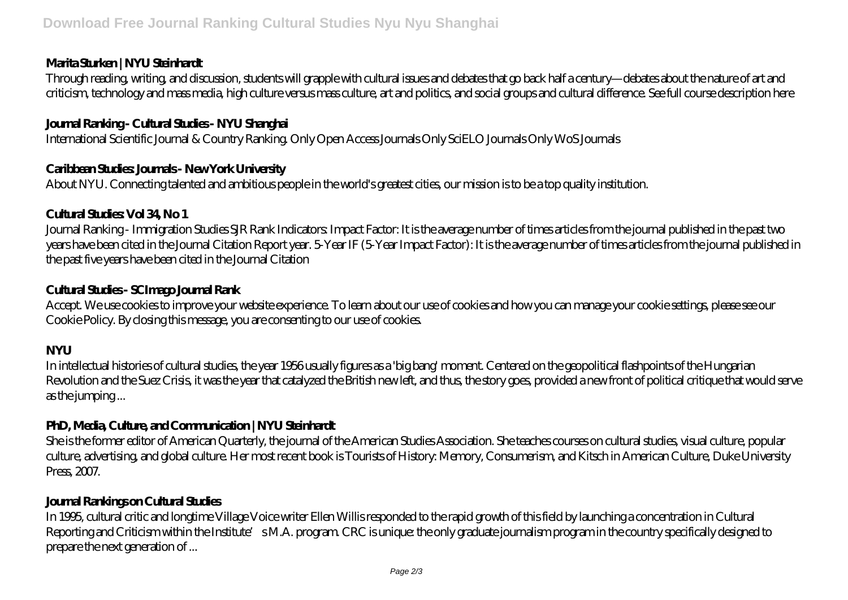#### **Marita Sturken | NYU Steinhardt**

Through reading, writing, and discussion, students will grapple with cultural issues and debates that go back half a century—debates about the nature of art and criticism, technology and mass media, high culture versus mass culture, art and politics, and social groups and cultural difference. See full course description here

# **Journal Ranking - Cultural Studies - NYU Shanghai**

International Scientific Journal & Country Ranking. Only Open Access Journals Only SciELO Journals Only WoS Journals

#### **Caribbean Studies: Journals - New York University**

About NYU. Connecting talented and ambitious people in the world's greatest cities, our mission is to be a top quality institution.

# **Cultural Studies: Vol 34, No 1**

Journal Ranking - Immigration Studies SJR Rank Indicators: Impact Factor: It is the average number of times articles from the journal published in the past two years have been cited in the Journal Citation Report year. 5-Year IF (5-Year Impact Factor): It is the average number of times articles from the journal published in the past five years have been cited in the Journal Citation

# **Cultural Studies - SCImago Journal Rank**

Accept. We use cookies to improve your website experience. To learn about our use of cookies and how you can manage your cookie settings, please see our Cookie Policy. By closing this message, you are consenting to our use of cookies.

# **NYU**

In intellectual histories of cultural studies, the year 1956 usually figures as a 'big bang' moment. Centered on the geopolitical flashpoints of the Hungarian Revolution and the Suez Crisis, it was the year that catalyzed the British new left, and thus, the story goes, provided a new front of political critique that would serve as the jumping ...

# **PhD, Media, Culture, and Communication | NYU Steinhardt**

She is the former editor of American Quarterly, the journal of the American Studies Association. She teaches courses on cultural studies, visual culture, popular culture, advertising, and global culture. Her most recent book is Tourists of History: Memory, Consumerism, and Kitsch in American Culture, Duke University Press, 2007.

# **Journal Rankings on Cultural Studies**

In 1995, cultural critic and longtime Village Voice writer Ellen Willis responded to the rapid growth of this field by launching a concentration in Cultural Reporting and Criticism within the Institute's M.A. program. CRC is unique: the only graduate journalism program in the country specifically designed to prepare the next generation of ...